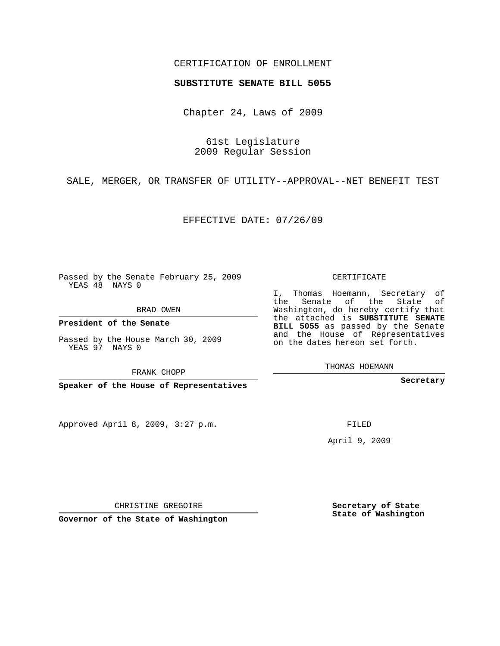## CERTIFICATION OF ENROLLMENT

## **SUBSTITUTE SENATE BILL 5055**

Chapter 24, Laws of 2009

61st Legislature 2009 Regular Session

SALE, MERGER, OR TRANSFER OF UTILITY--APPROVAL--NET BENEFIT TEST

EFFECTIVE DATE: 07/26/09

Passed by the Senate February 25, 2009 YEAS 48 NAYS 0

BRAD OWEN

**President of the Senate**

YEAS 97 NAYS 0

**Speaker of the House of Representatives**

Approved April 8, 2009, 3:27 p.m.

CERTIFICATE

I, Thomas Hoemann, Secretary of the Senate of the State of Washington, do hereby certify that the attached is **SUBSTITUTE SENATE BILL 5055** as passed by the Senate and the House of Representatives on the dates hereon set forth.

THOMAS HOEMANN

**Secretary**

FILED

April 9, 2009

**Secretary of State State of Washington**

CHRISTINE GREGOIRE

**Governor of the State of Washington**

Passed by the House March 30, 2009

FRANK CHOPP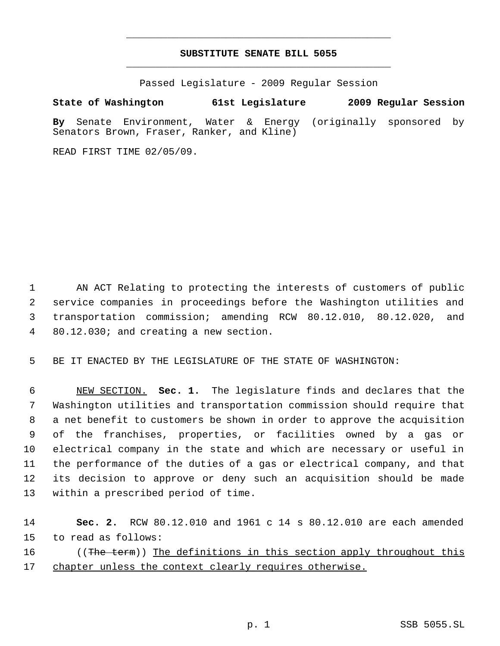## **SUBSTITUTE SENATE BILL 5055** \_\_\_\_\_\_\_\_\_\_\_\_\_\_\_\_\_\_\_\_\_\_\_\_\_\_\_\_\_\_\_\_\_\_\_\_\_\_\_\_\_\_\_\_\_

\_\_\_\_\_\_\_\_\_\_\_\_\_\_\_\_\_\_\_\_\_\_\_\_\_\_\_\_\_\_\_\_\_\_\_\_\_\_\_\_\_\_\_\_\_

Passed Legislature - 2009 Regular Session

## **State of Washington 61st Legislature 2009 Regular Session**

**By** Senate Environment, Water & Energy (originally sponsored by Senators Brown, Fraser, Ranker, and Kline)

READ FIRST TIME 02/05/09.

 AN ACT Relating to protecting the interests of customers of public service companies in proceedings before the Washington utilities and transportation commission; amending RCW 80.12.010, 80.12.020, and 80.12.030; and creating a new section.

5 BE IT ENACTED BY THE LEGISLATURE OF THE STATE OF WASHINGTON:

 NEW SECTION. **Sec. 1.** The legislature finds and declares that the Washington utilities and transportation commission should require that a net benefit to customers be shown in order to approve the acquisition of the franchises, properties, or facilities owned by a gas or electrical company in the state and which are necessary or useful in the performance of the duties of a gas or electrical company, and that its decision to approve or deny such an acquisition should be made within a prescribed period of time.

14 **Sec. 2.** RCW 80.12.010 and 1961 c 14 s 80.12.010 are each amended 15 to read as follows: 16 ((The term)) The definitions in this section apply throughout this 17 chapter unless the context clearly requires otherwise.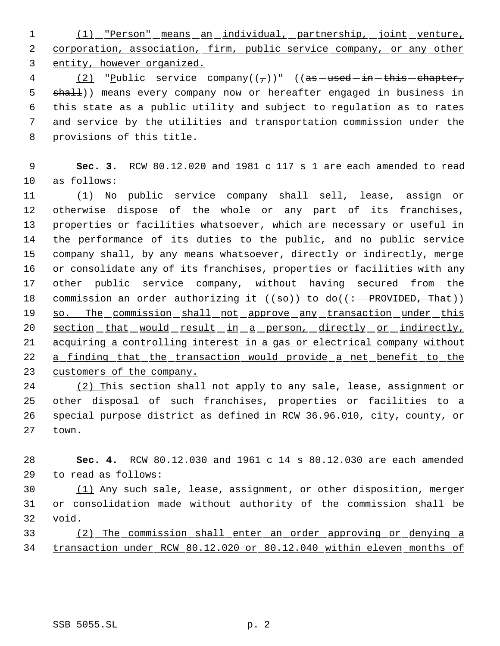(1) "Person" means an individual, partnership, joint venture, 2 corporation, association, firm, public service company, or any other entity, however organized.

4 (2) "Public service company( $(\tau)$ )" ((as used in this chapter, 5 shall)) means every company now or hereafter engaged in business in this state as a public utility and subject to regulation as to rates and service by the utilities and transportation commission under the provisions of this title.

 **Sec. 3.** RCW 80.12.020 and 1981 c 117 s 1 are each amended to read as follows:

 (1) No public service company shall sell, lease, assign or otherwise dispose of the whole or any part of its franchises, properties or facilities whatsoever, which are necessary or useful in the performance of its duties to the public, and no public service company shall, by any means whatsoever, directly or indirectly, merge or consolidate any of its franchises, properties or facilities with any other public service company, without having secured from the 18 commission an order authorizing it  $((\text{se}))$  to do $((\div \text{PROVIDED}, \text{That}))$ 19 so. The commission shall not approve any transaction under this 20 section that would result in a person, directly or indirectly, acquiring a controlling interest in a gas or electrical company without 22 a finding that the transaction would provide a net benefit to the 23 customers of the company.

 (2) This section shall not apply to any sale, lease, assignment or other disposal of such franchises, properties or facilities to a special purpose district as defined in RCW 36.96.010, city, county, or town.

 **Sec. 4.** RCW 80.12.030 and 1961 c 14 s 80.12.030 are each amended to read as follows:

 (1) Any such sale, lease, assignment, or other disposition, merger or consolidation made without authority of the commission shall be void.

 (2) The commission shall enter an order approving or denying a transaction under RCW 80.12.020 or 80.12.040 within eleven months of